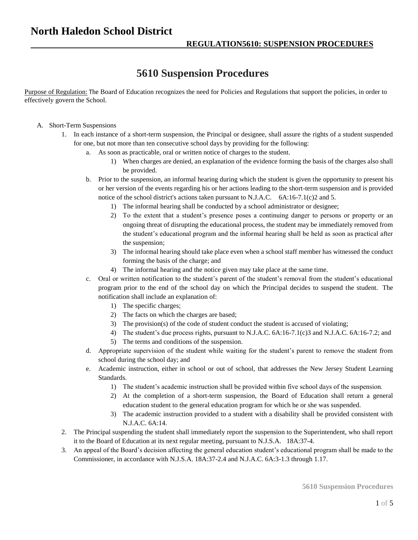## **North Haledon School District**

## **5610 Suspension Procedures**

Purpose of Regulation: The Board of Education recognizes the need for Policies and Regulations that support the policies, in order to effectively govern the School.

- A. Short-Term Suspensions
	- 1. In each instance of a short-term suspension, the Principal or designee, shall assure the rights of a student suspended for one, but not more than ten consecutive school days by providing for the following:
		- a. As soon as practicable, oral or written notice of charges to the student.
			- 1) When charges are denied, an explanation of the evidence forming the basis of the charges also shall be provided.
		- b. Prior to the suspension, an informal hearing during which the student is given the opportunity to present his or her version of the events regarding his or her actions leading to the short-term suspension and is provided notice of the school district's actions taken pursuant to N.J.A.C. 6A:16-7.1(c)2 and 5.
			- 1) The informal hearing shall be conducted by a school administrator or designee;
			- 2) To the extent that a student's presence poses a continuing danger to persons or property or an ongoing threat of disrupting the educational process, the student may be immediately removed from the student's educational program and the informal hearing shall be held as soon as practical after the suspension;
			- 3) The informal hearing should take place even when a school staff member has witnessed the conduct forming the basis of the charge; and
			- 4) The informal hearing and the notice given may take place at the same time.
		- c. Oral or written notification to the student's parent of the student's removal from the student's educational program prior to the end of the school day on which the Principal decides to suspend the student. The notification shall include an explanation of:
			- 1) The specific charges;
			- 2) The facts on which the charges are based;
			- 3) The provision(s) of the code of student conduct the student is accused of violating;
			- 4) The student's due process rights, pursuant to N.J.A.C. 6A:16-7.1(c)3 and N.J.A.C. 6A:16-7.2; and
			- 5) The terms and conditions of the suspension.
		- d. Appropriate supervision of the student while waiting for the student's parent to remove the student from school during the school day; and
		- e. Academic instruction, either in school or out of school, that addresses the New Jersey Student Learning Standards.
			- 1) The student's academic instruction shall be provided within five school days of the suspension.
			- 2) At the completion of a short-term suspension, the Board of Education shall return a general education student to the general education program for which he or she was suspended.
			- 3) The academic instruction provided to a student with a disability shall be provided consistent with N.J.A.C. 6A:14.
	- 2. The Principal suspending the student shall immediately report the suspension to the Superintendent, who shall report it to the Board of Education at its next regular meeting, pursuant to N.J.S.A. 18A:37-4.
	- 3. An appeal of the Board's decision affecting the general education student's educational program shall be made to the Commissioner, in accordance with N.J.S.A. 18A:37-2.4 and N.J.A.C. 6A:3-1.3 through 1.17.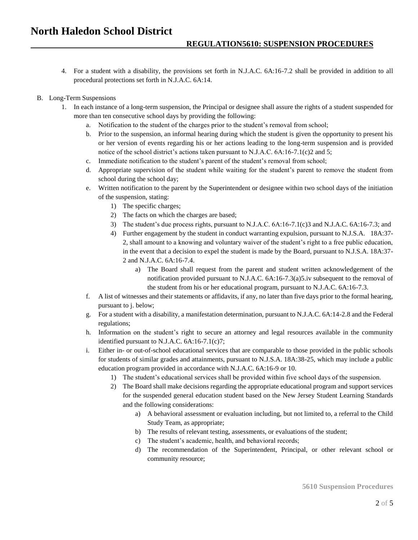- 4. For a student with a disability, the provisions set forth in N.J.A.C. 6A:16-7.2 shall be provided in addition to all procedural protections set forth in N.J.A.C. 6A:14.
- B. Long-Term Suspensions
	- 1. In each instance of a long-term suspension, the Principal or designee shall assure the rights of a student suspended for more than ten consecutive school days by providing the following:
		- a. Notification to the student of the charges prior to the student's removal from school;
		- b. Prior to the suspension, an informal hearing during which the student is given the opportunity to present his or her version of events regarding his or her actions leading to the long-term suspension and is provided notice of the school district's actions taken pursuant to N.J.A.C. 6A:16-7.1(c)2 and 5;
		- c. Immediate notification to the student's parent of the student's removal from school;
		- d. Appropriate supervision of the student while waiting for the student's parent to remove the student from school during the school day;
		- e. Written notification to the parent by the Superintendent or designee within two school days of the initiation of the suspension, stating:
			- 1) The specific charges;
			- 2) The facts on which the charges are based;
			- 3) The student's due process rights, pursuant to N.J.A.C. 6A:16-7.1(c)3 and N.J.A.C. 6A:16-7.3; and
			- 4) Further engagement by the student in conduct warranting expulsion, pursuant to N.J.S.A. 18A:37- 2, shall amount to a knowing and voluntary waiver of the student's right to a free public education, in the event that a decision to expel the student is made by the Board, pursuant to N.J.S.A. 18A:37- 2 and N.J.A.C. 6A:16-7.4.
				- a) The Board shall request from the parent and student written acknowledgement of the notification provided pursuant to N.J.A.C. 6A:16-7.3(a)5.iv subsequent to the removal of the student from his or her educational program, pursuant to N.J.A.C. 6A:16-7.3.
		- f. A list of witnesses and their statements or affidavits, if any, no later than five days prior to the formal hearing, pursuant to j. below;
		- g. For a student with a disability, a manifestation determination, pursuant to N.J.A.C. 6A:14-2.8 and the Federal regulations;
		- h. Information on the student's right to secure an attorney and legal resources available in the community identified pursuant to N.J.A.C. 6A:16-7.1(c)7;
		- i. Either in- or out-of-school educational services that are comparable to those provided in the public schools for students of similar grades and attainments, pursuant to N.J.S.A. 18A:38-25, which may include a public education program provided in accordance with N.J.A.C. 6A:16-9 or 10.
			- 1) The student's educational services shall be provided within five school days of the suspension.
			- 2) The Board shall make decisions regarding the appropriate educational program and support services for the suspended general education student based on the New Jersey Student Learning Standards and the following considerations:
				- a) A behavioral assessment or evaluation including, but not limited to, a referral to the Child Study Team, as appropriate;
				- b) The results of relevant testing, assessments, or evaluations of the student;
				- c) The student's academic, health, and behavioral records;
				- d) The recommendation of the Superintendent, Principal, or other relevant school or community resource;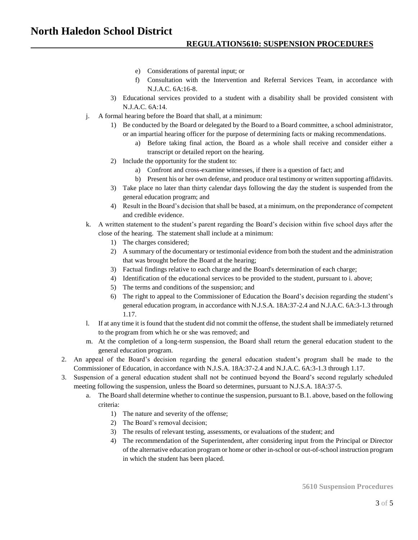- e) Considerations of parental input; or
- f) Consultation with the Intervention and Referral Services Team, in accordance with N.J.A.C. 6A:16-8.
- 3) Educational services provided to a student with a disability shall be provided consistent with N.J.A.C. 6A:14.
- j. A formal hearing before the Board that shall, at a minimum:
	- 1) Be conducted by the Board or delegated by the Board to a Board committee, a school administrator, or an impartial hearing officer for the purpose of determining facts or making recommendations.
		- a) Before taking final action, the Board as a whole shall receive and consider either a transcript or detailed report on the hearing.
	- 2) Include the opportunity for the student to:
		- a) Confront and cross-examine witnesses, if there is a question of fact; and
		- b) Present his or her own defense, and produce oral testimony or written supporting affidavits.
	- 3) Take place no later than thirty calendar days following the day the student is suspended from the general education program; and
	- 4) Result in the Board's decision that shall be based, at a minimum, on the preponderance of competent and credible evidence.
- k. A written statement to the student's parent regarding the Board's decision within five school days after the close of the hearing. The statement shall include at a minimum:
	- 1) The charges considered;
	- 2) A summary of the documentary or testimonial evidence from both the student and the administration that was brought before the Board at the hearing;
	- 3) Factual findings relative to each charge and the Board's determination of each charge;
	- 4) Identification of the educational services to be provided to the student, pursuant to i. above;
	- 5) The terms and conditions of the suspension; and
	- 6) The right to appeal to the Commissioner of Education the Board's decision regarding the student's general education program, in accordance with N.J.S.A. 18A:37-2.4 and N.J.A.C. 6A:3-1.3 through 1.17.
- l. If at any time it is found that the student did not commit the offense, the student shall be immediately returned to the program from which he or she was removed; and
- m. At the completion of a long-term suspension, the Board shall return the general education student to the general education program.
- 2. An appeal of the Board's decision regarding the general education student's program shall be made to the Commissioner of Education, in accordance with N.J.S.A. 18A:37-2.4 and N.J.A.C. 6A:3-1.3 through 1.17.
- 3. Suspension of a general education student shall not be continued beyond the Board's second regularly scheduled meeting following the suspension, unless the Board so determines, pursuant to N.J.S.A. 18A:37-5.
	- a. The Board shall determine whether to continue the suspension, pursuant to B.1. above, based on the following criteria:
		- 1) The nature and severity of the offense;
		- 2) The Board's removal decision;
		- 3) The results of relevant testing, assessments, or evaluations of the student; and
		- 4) The recommendation of the Superintendent, after considering input from the Principal or Director of the alternative education program or home or other in-school or out-of-school instruction program in which the student has been placed.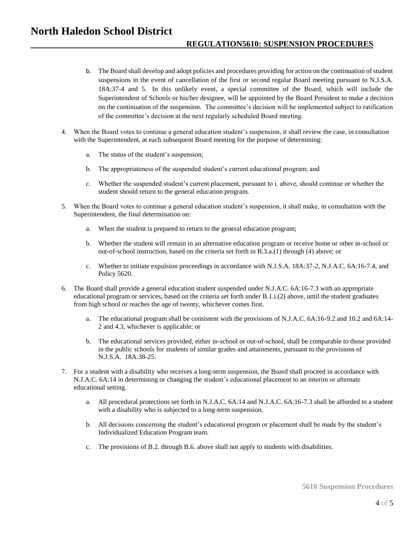- b. The Board shall develop and adopt policies and procedures providing for action on the continuation of student suspensions in the event of cancellation of the first or second regular Board meeting pursuant to N.J.S.A. 18A:37-4 and 5. In this unlikely event, a special committee of the Board, which will include the Superintendent of Schools or his/her designee, will be appointed by the Board President to make a decision on the continuation of the suspension. The committee's decision will be implemented subject to ratification of the committee's decision at the next regularly scheduled Board meeting.
- 4. When the Board votes to continue a general education student's suspension, it shall review the case, in consultation with the Superintendent, at each subsequent Board meeting for the purpose of determining:
	- a. The status of the student's suspension;
	- b. The appropriateness of the suspended student's current educational program; and
	- c. Whether the suspended student's current placement, pursuant to i. above, should continue or whether the student should return to the general education program.
- 5. When the Board votes to continue a general education student's suspension, it shall make, in consultation with the Superintendent, the final determination on:
	- a. When the student is prepared to return to the general education program;
	- b. Whether the student will remain in an alternative education program or receive home or other in-school or out-of-school instruction, based on the criteria set forth in B.3.a.(1) through (4) above; or
	- c. Whether to initiate expulsion proceedings in accordance with N.J.S.A. 18A:37-2, N.J.A.C. 6A:16-7.4, and Policy 5620.
- 6. The Board shall provide a general education student suspended under N.J.A.C. 6A:16-7.3 with an appropriate educational program or services, based on the criteria set forth under B.1.i.(2) above, until the student graduates from high school or reaches the age of twenty, whichever comes first.
	- a. The educational program shall be consistent with the provisions of N.J.A.C. 6A:16-9.2 and 10.2 and 6A:14- 2 and 4.3, whichever is applicable; or
	- b. The educational services provided, either in-school or out-of-school, shall be comparable to those provided in the public schools for students of similar grades and attainments, pursuant to the provisions of N.J.S.A. 18A:38-25.
- 7. For a student with a disability who receives a long-term suspension, the Board shall proceed in accordance with N.J.A.C. 6A:14 in determining or changing the student's educational placement to an interim or alternate educational setting.
	- a. All procedural protections set forth in N.J.A.C. 6A:14 and N.J.A.C. 6A:16-7.3 shall be afforded to a student with a disability who is subjected to a long-term suspension.
	- b. All decisions concerning the student's educational program or placement shall be made by the student's Individualized Education Program team.
	- c. The provisions of B.2. through B.6. above shall not apply to students with disabilities.